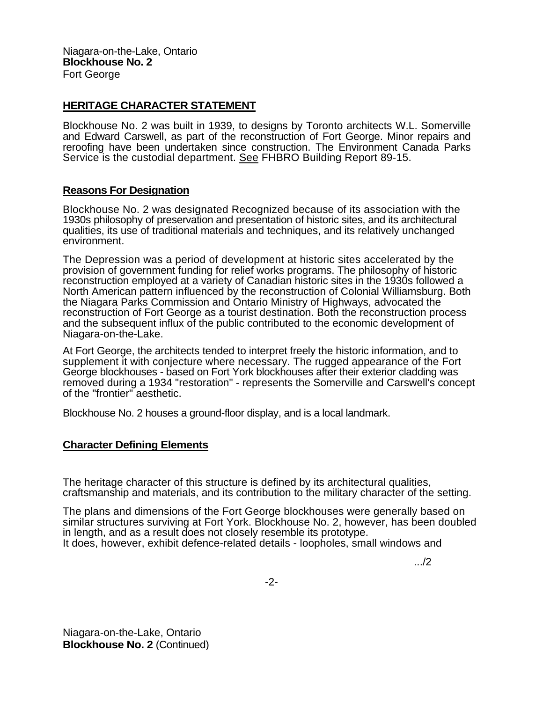Niagara-on-the-Lake, Ontario **Blockhouse No. 2**  Fort George

## **HERITAGE CHARACTER STATEMENT**

Blockhouse No. 2 was built in 1939, to designs by Toronto architects W.L. Somerville and Edward Carswell, as part of the reconstruction of Fort George. Minor repairs and reroofing have been undertaken since construction. The Environment Canada Parks Service is the custodial department. See FHBRO Building Report 89-15.

## **Reasons For Designation**

Blockhouse No. 2 was designated Recognized because of its association with the 1930s philosophy of preservation and presentation of historic sites, and its architectural qualities, its use of traditional materials and techniques, and its relatively unchanged environment.

The Depression was a period of development at historic sites accelerated by the provision of government funding for relief works programs. The philosophy of historic reconstruction employed at a variety of Canadian historic sites in the 1930s followed a North American pattern influenced by the reconstruction of Colonial Williamsburg. Both the Niagara Parks Commission and Ontario Ministry of Highways, advocated the reconstruction of Fort George as a tourist destination. Both the reconstruction process and the subsequent influx of the public contributed to the economic development of Niagara-on-the-Lake.

At Fort George, the architects tended to interpret freely the historic information, and to supplement it with conjecture where necessary. The rugged appearance of the Fort George blockhouses - based on Fort York blockhouses after their exterior cladding was removed during a 1934 "restoration" - represents the Somerville and Carswell's concept of the "frontier" aesthetic.

Blockhouse No. 2 houses a ground-floor display, and is a local landmark.

## **Character Defining Elements**

The heritage character of this structure is defined by its architectural qualities, craftsmanship and materials, and its contribution to the military character of the setting.

The plans and dimensions of the Fort George blockhouses were generally based on similar structures surviving at Fort York. Blockhouse No. 2, however, has been doubled in length, and as a result does not closely resemble its prototype. It does, however, exhibit defence-related details - loopholes, small windows and

.../2

Niagara-on-the-Lake, Ontario **Blockhouse No. 2** (Continued)